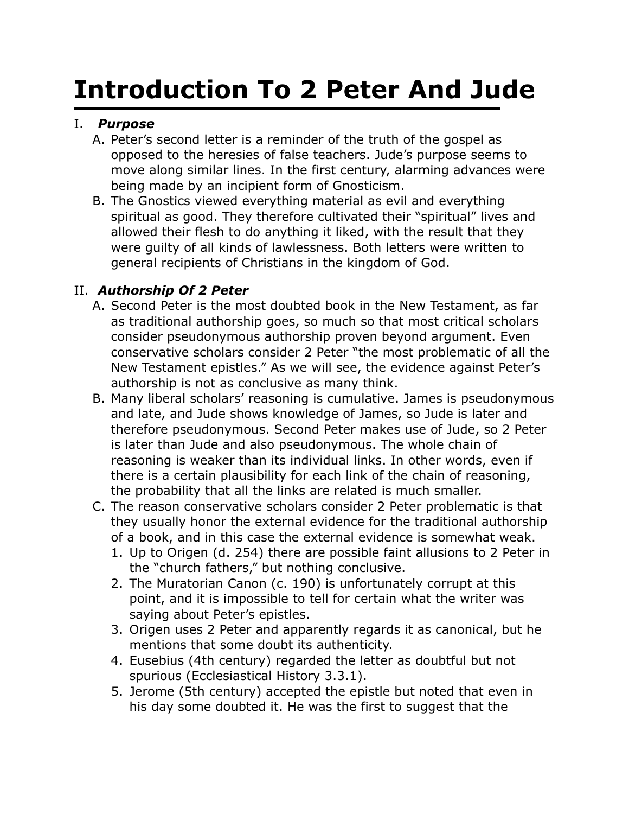# **Introduction To 2 Peter And Jude**

#### I. *Purpose*

- A. Peter's second letter is a reminder of the truth of the gospel as opposed to the heresies of false teachers. Jude's purpose seems to move along similar lines. In the first century, alarming advances were being made by an incipient form of Gnosticism.
- B. The Gnostics viewed everything material as evil and everything spiritual as good. They therefore cultivated their "spiritual" lives and allowed their flesh to do anything it liked, with the result that they were guilty of all kinds of lawlessness. Both letters were written to general recipients of Christians in the kingdom of God.

#### II. *Authorship Of 2 Peter*

- A. Second Peter is the most doubted book in the New Testament, as far as traditional authorship goes, so much so that most critical scholars consider pseudonymous authorship proven beyond argument. Even conservative scholars consider 2 Peter "the most problematic of all the New Testament epistles." As we will see, the evidence against Peter's authorship is not as conclusive as many think.
- B. Many liberal scholars' reasoning is cumulative. James is pseudonymous and late, and Jude shows knowledge of James, so Jude is later and therefore pseudonymous. Second Peter makes use of Jude, so 2 Peter is later than Jude and also pseudonymous. The whole chain of reasoning is weaker than its individual links. In other words, even if there is a certain plausibility for each link of the chain of reasoning, the probability that all the links are related is much smaller.
- C. The reason conservative scholars consider 2 Peter problematic is that they usually honor the external evidence for the traditional authorship of a book, and in this case the external evidence is somewhat weak.
	- 1. Up to Origen (d. 254) there are possible faint allusions to 2 Peter in the "church fathers," but nothing conclusive.
	- 2. The Muratorian Canon (c. 190) is unfortunately corrupt at this point, and it is impossible to tell for certain what the writer was saying about Peter's epistles.
	- 3. Origen uses 2 Peter and apparently regards it as canonical, but he mentions that some doubt its authenticity.
	- 4. Eusebius (4th century) regarded the letter as doubtful but not spurious (Ecclesiastical History 3.3.1).
	- 5. Jerome (5th century) accepted the epistle but noted that even in his day some doubted it. He was the first to suggest that the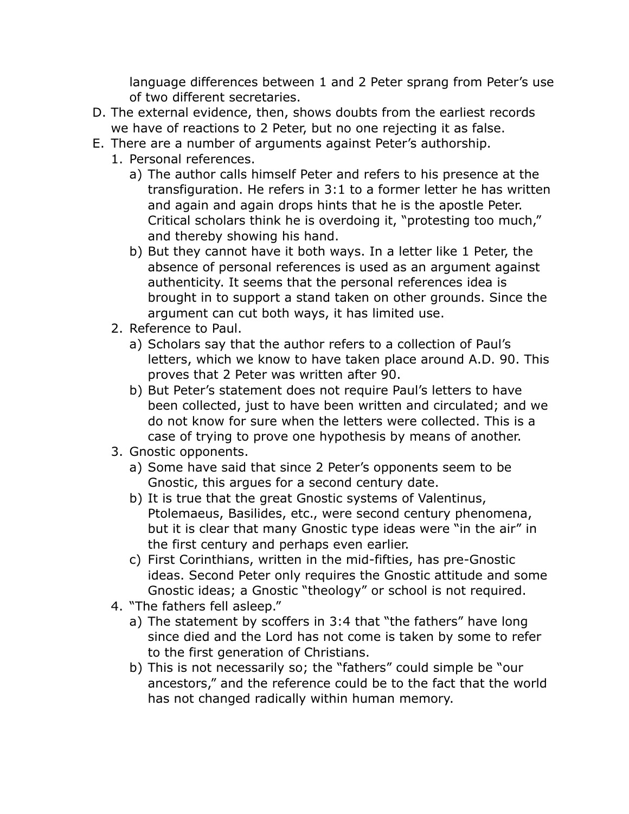language differences between 1 and 2 Peter sprang from Peter's use of two different secretaries.

- D. The external evidence, then, shows doubts from the earliest records we have of reactions to 2 Peter, but no one rejecting it as false.
- E. There are a number of arguments against Peter's authorship.
	- 1. Personal references.
		- a) The author calls himself Peter and refers to his presence at the transfiguration. He refers in 3:1 to a former letter he has written and again and again drops hints that he is the apostle Peter. Critical scholars think he is overdoing it, "protesting too much," and thereby showing his hand.
		- b) But they cannot have it both ways. In a letter like 1 Peter, the absence of personal references is used as an argument against authenticity. It seems that the personal references idea is brought in to support a stand taken on other grounds. Since the argument can cut both ways, it has limited use.
	- 2. Reference to Paul.
		- a) Scholars say that the author refers to a collection of Paul's letters, which we know to have taken place around A.D. 90. This proves that 2 Peter was written after 90.
		- b) But Peter's statement does not require Paul's letters to have been collected, just to have been written and circulated; and we do not know for sure when the letters were collected. This is a case of trying to prove one hypothesis by means of another.
	- 3. Gnostic opponents.
		- a) Some have said that since 2 Peter's opponents seem to be Gnostic, this argues for a second century date.
		- b) It is true that the great Gnostic systems of Valentinus, Ptolemaeus, Basilides, etc., were second century phenomena, but it is clear that many Gnostic type ideas were "in the air" in the first century and perhaps even earlier.
		- c) First Corinthians, written in the mid-fifties, has pre-Gnostic ideas. Second Peter only requires the Gnostic attitude and some Gnostic ideas; a Gnostic "theology" or school is not required.
	- 4. "The fathers fell asleep."
		- a) The statement by scoffers in 3:4 that "the fathers" have long since died and the Lord has not come is taken by some to refer to the first generation of Christians.
		- b) This is not necessarily so; the "fathers" could simple be "our ancestors," and the reference could be to the fact that the world has not changed radically within human memory.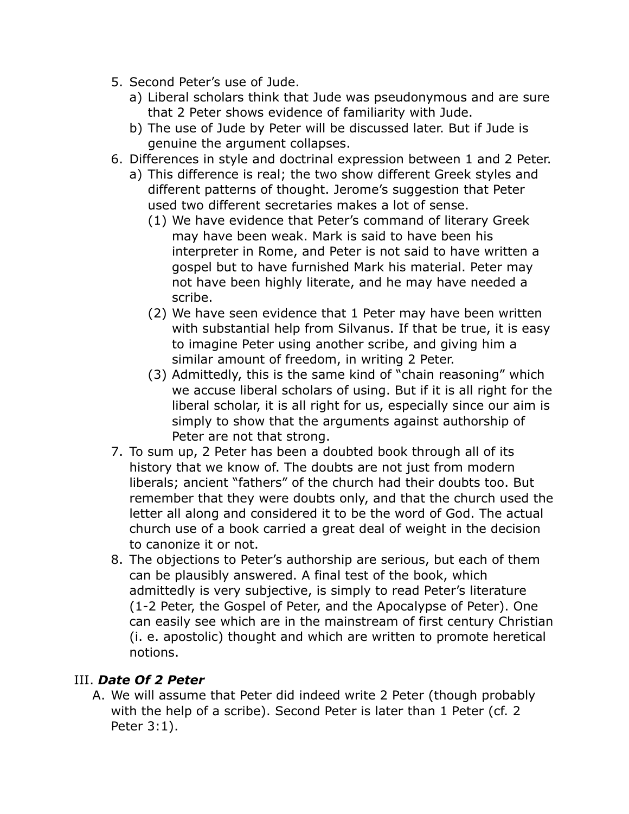- 5. Second Peter's use of Jude.
	- a) Liberal scholars think that Jude was pseudonymous and are sure that 2 Peter shows evidence of familiarity with Jude.
	- b) The use of Jude by Peter will be discussed later. But if Jude is genuine the argument collapses.
- 6. Differences in style and doctrinal expression between 1 and 2 Peter.
	- a) This difference is real; the two show different Greek styles and different patterns of thought. Jerome's suggestion that Peter used two different secretaries makes a lot of sense.
		- (1) We have evidence that Peter's command of literary Greek may have been weak. Mark is said to have been his interpreter in Rome, and Peter is not said to have written a gospel but to have furnished Mark his material. Peter may not have been highly literate, and he may have needed a scribe.
		- (2) We have seen evidence that 1 Peter may have been written with substantial help from Silvanus. If that be true, it is easy to imagine Peter using another scribe, and giving him a similar amount of freedom, in writing 2 Peter.
		- (3) Admittedly, this is the same kind of "chain reasoning" which we accuse liberal scholars of using. But if it is all right for the liberal scholar, it is all right for us, especially since our aim is simply to show that the arguments against authorship of Peter are not that strong.
- 7. To sum up, 2 Peter has been a doubted book through all of its history that we know of. The doubts are not just from modern liberals; ancient "fathers" of the church had their doubts too. But remember that they were doubts only, and that the church used the letter all along and considered it to be the word of God. The actual church use of a book carried a great deal of weight in the decision to canonize it or not.
- 8. The objections to Peter's authorship are serious, but each of them can be plausibly answered. A final test of the book, which admittedly is very subjective, is simply to read Peter's literature (1-2 Peter, the Gospel of Peter, and the Apocalypse of Peter). One can easily see which are in the mainstream of first century Christian (i. e. apostolic) thought and which are written to promote heretical notions.

#### III. *Date Of 2 Peter*

A. We will assume that Peter did indeed write 2 Peter (though probably with the help of a scribe). Second Peter is later than 1 Peter (cf. 2 Peter 3:1).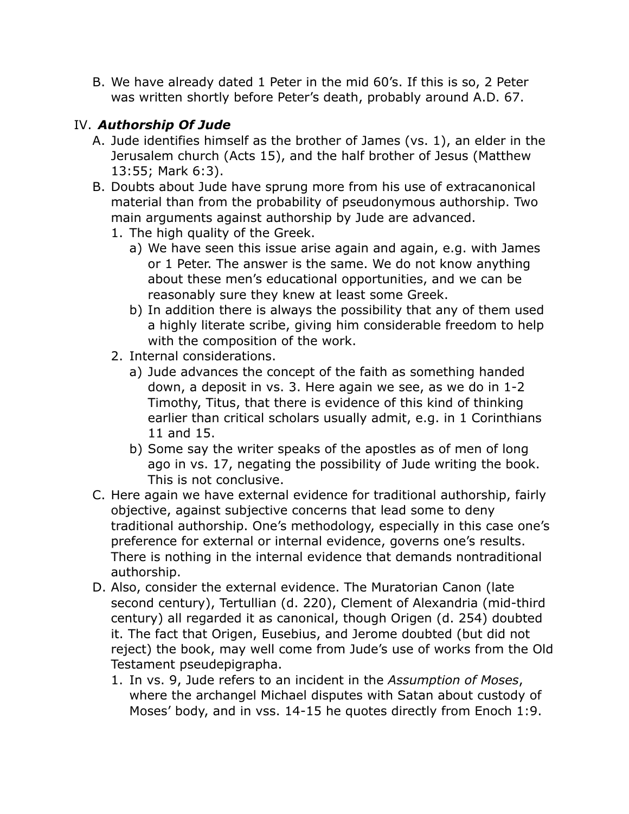B. We have already dated 1 Peter in the mid 60's. If this is so, 2 Peter was written shortly before Peter's death, probably around A.D. 67.

# IV. *Authorship Of Jude*

- A. Jude identifies himself as the brother of James (vs. 1), an elder in the Jerusalem church (Acts 15), and the half brother of Jesus (Matthew 13:55; Mark 6:3).
- B. Doubts about Jude have sprung more from his use of extracanonical material than from the probability of pseudonymous authorship. Two main arguments against authorship by Jude are advanced.
	- 1. The high quality of the Greek.
		- a) We have seen this issue arise again and again, e.g. with James or 1 Peter. The answer is the same. We do not know anything about these men's educational opportunities, and we can be reasonably sure they knew at least some Greek.
		- b) In addition there is always the possibility that any of them used a highly literate scribe, giving him considerable freedom to help with the composition of the work.
	- 2. Internal considerations.
		- a) Jude advances the concept of the faith as something handed down, a deposit in vs. 3. Here again we see, as we do in 1-2 Timothy, Titus, that there is evidence of this kind of thinking earlier than critical scholars usually admit, e.g. in 1 Corinthians 11 and 15.
		- b) Some say the writer speaks of the apostles as of men of long ago in vs. 17, negating the possibility of Jude writing the book. This is not conclusive.
- C. Here again we have external evidence for traditional authorship, fairly objective, against subjective concerns that lead some to deny traditional authorship. One's methodology, especially in this case one's preference for external or internal evidence, governs one's results. There is nothing in the internal evidence that demands nontraditional authorship.
- D. Also, consider the external evidence. The Muratorian Canon (late second century), Tertullian (d. 220), Clement of Alexandria (mid-third century) all regarded it as canonical, though Origen (d. 254) doubted it. The fact that Origen, Eusebius, and Jerome doubted (but did not reject) the book, may well come from Jude's use of works from the Old Testament pseudepigrapha.
	- 1. In vs. 9, Jude refers to an incident in the *Assumption of Moses*, where the archangel Michael disputes with Satan about custody of Moses' body, and in vss. 14-15 he quotes directly from Enoch 1:9.